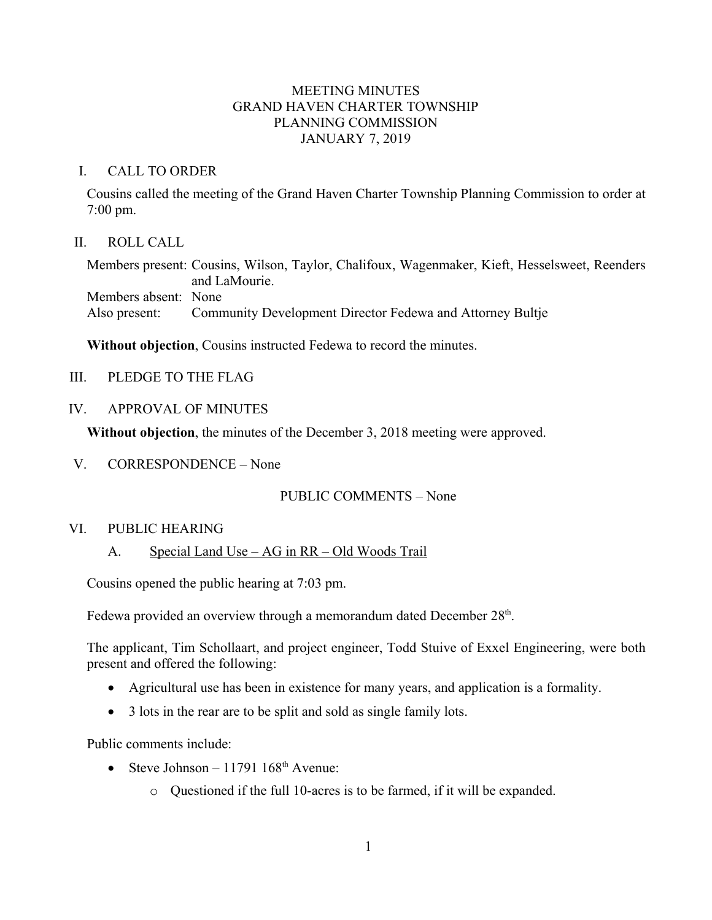## MEETING MINUTES GRAND HAVEN CHARTER TOWNSHIP PLANNING COMMISSION JANUARY 7, 2019

### I. CALL TO ORDER

Cousins called the meeting of the Grand Haven Charter Township Planning Commission to order at 7:00 pm.

## II. ROLL CALL

Members present: Cousins, Wilson, Taylor, Chalifoux, Wagenmaker, Kieft, Hesselsweet, Reenders and LaMourie. Members absent: None Also present: Community Development Director Fedewa and Attorney Bultje

**Without objection**, Cousins instructed Fedewa to record the minutes.

III. PLEDGE TO THE FLAG

### IV. APPROVAL OF MINUTES

**Without objection**, the minutes of the December 3, 2018 meeting were approved.

V. CORRESPONDENCE – None

# PUBLIC COMMENTS – None

### VI. PUBLIC HEARING

### A. Special Land Use – AG in RR – Old Woods Trail

Cousins opened the public hearing at 7:03 pm.

Fedewa provided an overview through a memorandum dated December 28<sup>th</sup>.

The applicant, Tim Schollaart, and project engineer, Todd Stuive of Exxel Engineering, were both present and offered the following:

- Agricultural use has been in existence for many years, and application is a formality.
- 3 lots in the rear are to be split and sold as single family lots.

Public comments include:

- Steve Johnson 11791  $168<sup>th</sup>$  Avenue:
	- o Questioned if the full 10-acres is to be farmed, if it will be expanded.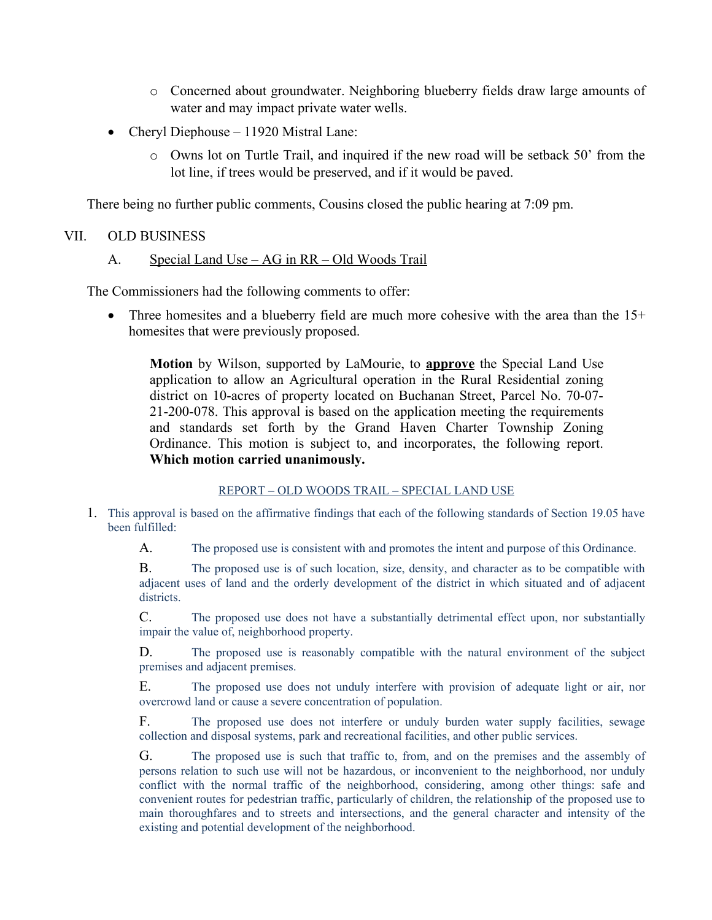- o Concerned about groundwater. Neighboring blueberry fields draw large amounts of water and may impact private water wells.
- Cheryl Diephouse 11920 Mistral Lane:
	- o Owns lot on Turtle Trail, and inquired if the new road will be setback 50' from the lot line, if trees would be preserved, and if it would be paved.

There being no further public comments, Cousins closed the public hearing at 7:09 pm.

## VII. OLD BUSINESS

## A. Special Land Use – AG in RR – Old Woods Trail

The Commissioners had the following comments to offer:

Three homesites and a blueberry field are much more cohesive with the area than the 15+ homesites that were previously proposed.

**Motion** by Wilson, supported by LaMourie, to **approve** the Special Land Use application to allow an Agricultural operation in the Rural Residential zoning district on 10-acres of property located on Buchanan Street, Parcel No. 70-07- 21-200-078. This approval is based on the application meeting the requirements and standards set forth by the Grand Haven Charter Township Zoning Ordinance. This motion is subject to, and incorporates, the following report. **Which motion carried unanimously.**

### REPORT – OLD WOODS TRAIL – SPECIAL LAND USE

1. This approval is based on the affirmative findings that each of the following standards of Section 19.05 have been fulfilled:

A. The proposed use is consistent with and promotes the intent and purpose of this Ordinance.

B. The proposed use is of such location, size, density, and character as to be compatible with adjacent uses of land and the orderly development of the district in which situated and of adjacent districts.

C. The proposed use does not have a substantially detrimental effect upon, nor substantially impair the value of, neighborhood property.

D. The proposed use is reasonably compatible with the natural environment of the subject premises and adjacent premises.

E. The proposed use does not unduly interfere with provision of adequate light or air, nor overcrowd land or cause a severe concentration of population.

F. The proposed use does not interfere or unduly burden water supply facilities, sewage collection and disposal systems, park and recreational facilities, and other public services.

G. The proposed use is such that traffic to, from, and on the premises and the assembly of persons relation to such use will not be hazardous, or inconvenient to the neighborhood, nor unduly conflict with the normal traffic of the neighborhood, considering, among other things: safe and convenient routes for pedestrian traffic, particularly of children, the relationship of the proposed use to main thoroughfares and to streets and intersections, and the general character and intensity of the existing and potential development of the neighborhood.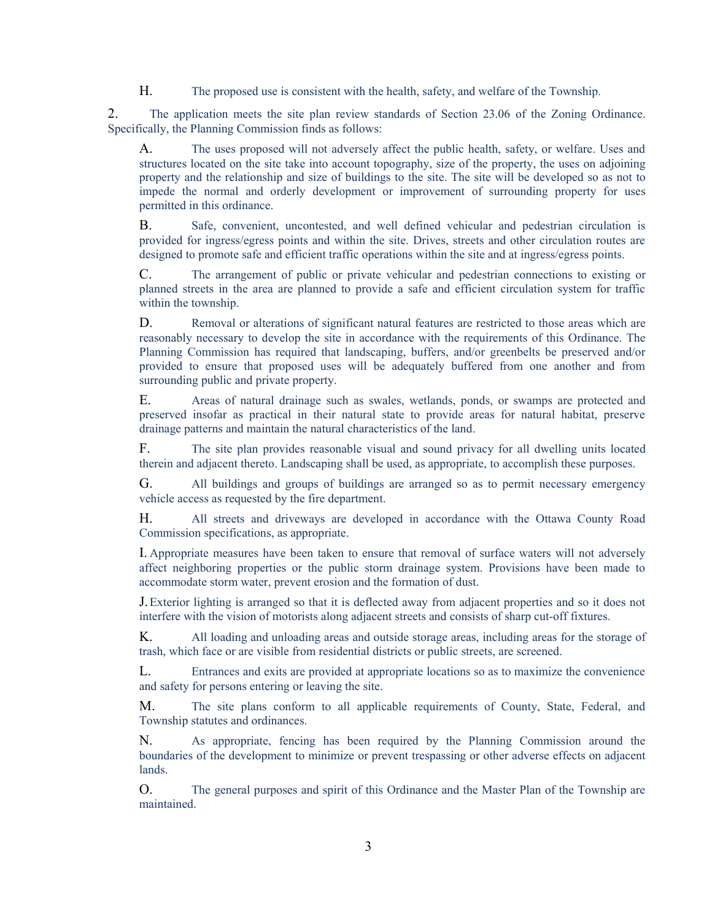H. The proposed use is consistent with the health, safety, and welfare of the Township.

2. The application meets the site plan review standards of Section 23.06 of the Zoning Ordinance. Specifically, the Planning Commission finds as follows:

A. The uses proposed will not adversely affect the public health, safety, or welfare. Uses and structures located on the site take into account topography, size of the property, the uses on adjoining property and the relationship and size of buildings to the site. The site will be developed so as not to impede the normal and orderly development or improvement of surrounding property for uses permitted in this ordinance.

B. Safe, convenient, uncontested, and well defined vehicular and pedestrian circulation is provided for ingress/egress points and within the site. Drives, streets and other circulation routes are designed to promote safe and efficient traffic operations within the site and at ingress/egress points.

C. The arrangement of public or private vehicular and pedestrian connections to existing or planned streets in the area are planned to provide a safe and efficient circulation system for traffic within the township.

D. Removal or alterations of significant natural features are restricted to those areas which are reasonably necessary to develop the site in accordance with the requirements of this Ordinance. The Planning Commission has required that landscaping, buffers, and/or greenbelts be preserved and/or provided to ensure that proposed uses will be adequately buffered from one another and from surrounding public and private property.

E. Areas of natural drainage such as swales, wetlands, ponds, or swamps are protected and preserved insofar as practical in their natural state to provide areas for natural habitat, preserve drainage patterns and maintain the natural characteristics of the land.

F. The site plan provides reasonable visual and sound privacy for all dwelling units located therein and adjacent thereto. Landscaping shall be used, as appropriate, to accomplish these purposes.

G. All buildings and groups of buildings are arranged so as to permit necessary emergency vehicle access as requested by the fire department.

H. All streets and driveways are developed in accordance with the Ottawa County Road Commission specifications, as appropriate.

I. Appropriate measures have been taken to ensure that removal of surface waters will not adversely affect neighboring properties or the public storm drainage system. Provisions have been made to accommodate storm water, prevent erosion and the formation of dust.

J.Exterior lighting is arranged so that it is deflected away from adjacent properties and so it does not interfere with the vision of motorists along adjacent streets and consists of sharp cut-off fixtures.

K. All loading and unloading areas and outside storage areas, including areas for the storage of trash, which face or are visible from residential districts or public streets, are screened.

L. Entrances and exits are provided at appropriate locations so as to maximize the convenience and safety for persons entering or leaving the site.

M. The site plans conform to all applicable requirements of County, State, Federal, and Township statutes and ordinances.

N. As appropriate, fencing has been required by the Planning Commission around the boundaries of the development to minimize or prevent trespassing or other adverse effects on adjacent lands.

O. The general purposes and spirit of this Ordinance and the Master Plan of the Township are maintained.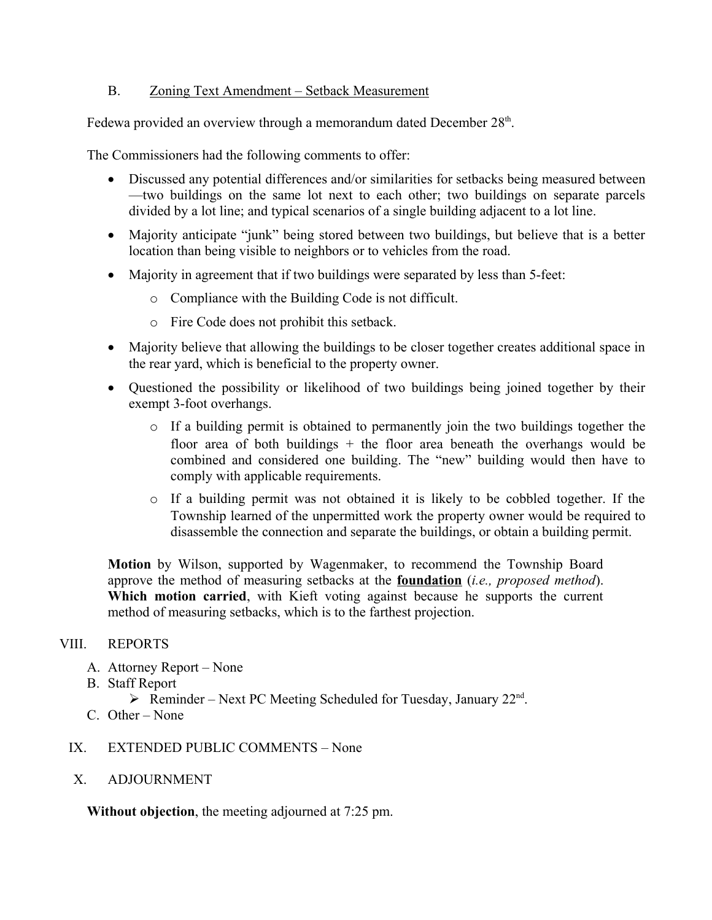## B. Zoning Text Amendment – Setback Measurement

Fedewa provided an overview through a memorandum dated December 28<sup>th</sup>.

The Commissioners had the following comments to offer:

- Discussed any potential differences and/or similarities for setbacks being measured between —two buildings on the same lot next to each other; two buildings on separate parcels divided by a lot line; and typical scenarios of a single building adjacent to a lot line.
- Majority anticipate "junk" being stored between two buildings, but believe that is a better location than being visible to neighbors or to vehicles from the road.
- Majority in agreement that if two buildings were separated by less than 5-feet:
	- o Compliance with the Building Code is not difficult.
	- o Fire Code does not prohibit this setback.
- Majority believe that allowing the buildings to be closer together creates additional space in the rear yard, which is beneficial to the property owner.
- Questioned the possibility or likelihood of two buildings being joined together by their exempt 3-foot overhangs.
	- o If a building permit is obtained to permanently join the two buildings together the floor area of both buildings  $+$  the floor area beneath the overhangs would be combined and considered one building. The "new" building would then have to comply with applicable requirements.
	- o If a building permit was not obtained it is likely to be cobbled together. If the Township learned of the unpermitted work the property owner would be required to disassemble the connection and separate the buildings, or obtain a building permit.

**Motion** by Wilson, supported by Wagenmaker, to recommend the Township Board approve the method of measuring setbacks at the **foundation** (*i.e., proposed method*). **Which motion carried**, with Kieft voting against because he supports the current method of measuring setbacks, which is to the farthest projection.

# VIII. REPORTS

- A. Attorney Report None
- B. Staff Report
	- $\triangleright$  Reminder Next PC Meeting Scheduled for Tuesday, January 22<sup>nd</sup>.
- C. Other None

# IX. EXTENDED PUBLIC COMMENTS – None

### X. ADJOURNMENT

**Without objection**, the meeting adjourned at 7:25 pm.